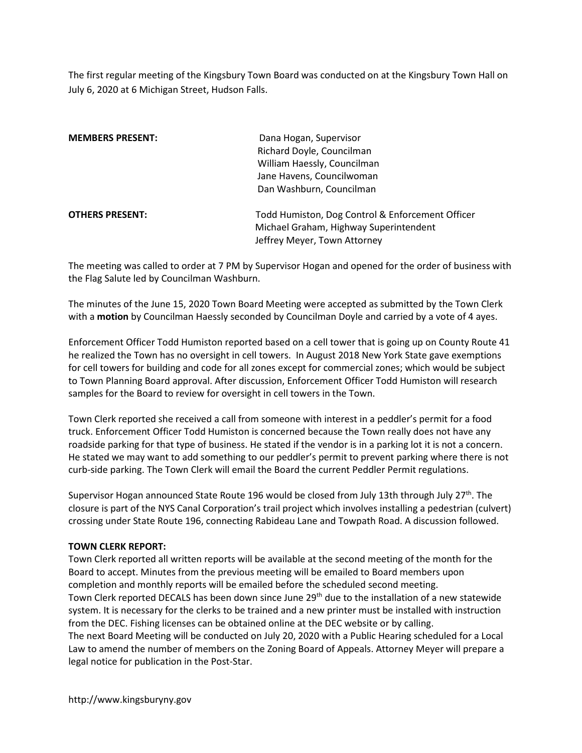The first regular meeting of the Kingsbury Town Board was conducted on at the Kingsbury Town Hall on July 6, 2020 at 6 Michigan Street, Hudson Falls.

| <b>MEMBERS PRESENT:</b> | Dana Hogan, Supervisor<br>Richard Doyle, Councilman<br>William Haessly, Councilman<br>Jane Havens, Councilwoman<br>Dan Washburn, Councilman |
|-------------------------|---------------------------------------------------------------------------------------------------------------------------------------------|
| <b>OTHERS PRESENT:</b>  | Todd Humiston, Dog Control & Enforcement Officer<br>Michael Graham, Highway Superintendent<br>Jeffrey Meyer, Town Attorney                  |

The meeting was called to order at 7 PM by Supervisor Hogan and opened for the order of business with the Flag Salute led by Councilman Washburn.

The minutes of the June 15, 2020 Town Board Meeting were accepted as submitted by the Town Clerk with a motion by Councilman Haessly seconded by Councilman Doyle and carried by a vote of 4 ayes.

Enforcement Officer Todd Humiston reported based on a cell tower that is going up on County Route 41 he realized the Town has no oversight in cell towers. In August 2018 New York State gave exemptions for cell towers for building and code for all zones except for commercial zones; which would be subject to Town Planning Board approval. After discussion, Enforcement Officer Todd Humiston will research samples for the Board to review for oversight in cell towers in the Town.

Town Clerk reported she received a call from someone with interest in a peddler's permit for a food truck. Enforcement Officer Todd Humiston is concerned because the Town really does not have any roadside parking for that type of business. He stated if the vendor is in a parking lot it is not a concern. He stated we may want to add something to our peddler's permit to prevent parking where there is not curb-side parking. The Town Clerk will email the Board the current Peddler Permit regulations.

Supervisor Hogan announced State Route 196 would be closed from July 13th through July 27<sup>th</sup>. The closure is part of the NYS Canal Corporation's trail project which involves installing a pedestrian (culvert) crossing under State Route 196, connecting Rabideau Lane and Towpath Road. A discussion followed.

# TOWN CLERK REPORT:

Town Clerk reported all written reports will be available at the second meeting of the month for the Board to accept. Minutes from the previous meeting will be emailed to Board members upon completion and monthly reports will be emailed before the scheduled second meeting. Town Clerk reported DECALS has been down since June 29th due to the installation of a new statewide system. It is necessary for the clerks to be trained and a new printer must be installed with instruction from the DEC. Fishing licenses can be obtained online at the DEC website or by calling. The next Board Meeting will be conducted on July 20, 2020 with a Public Hearing scheduled for a Local Law to amend the number of members on the Zoning Board of Appeals. Attorney Meyer will prepare a

legal notice for publication in the Post-Star.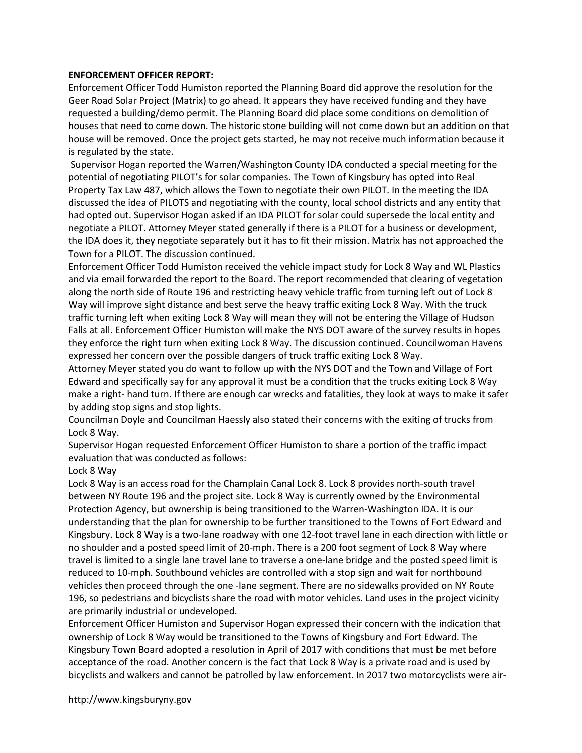## ENFORCEMENT OFFICER REPORT:

Enforcement Officer Todd Humiston reported the Planning Board did approve the resolution for the Geer Road Solar Project (Matrix) to go ahead. It appears they have received funding and they have requested a building/demo permit. The Planning Board did place some conditions on demolition of houses that need to come down. The historic stone building will not come down but an addition on that house will be removed. Once the project gets started, he may not receive much information because it is regulated by the state.

 Supervisor Hogan reported the Warren/Washington County IDA conducted a special meeting for the potential of negotiating PILOT's for solar companies. The Town of Kingsbury has opted into Real Property Tax Law 487, which allows the Town to negotiate their own PILOT. In the meeting the IDA discussed the idea of PILOTS and negotiating with the county, local school districts and any entity that had opted out. Supervisor Hogan asked if an IDA PILOT for solar could supersede the local entity and negotiate a PILOT. Attorney Meyer stated generally if there is a PILOT for a business or development, the IDA does it, they negotiate separately but it has to fit their mission. Matrix has not approached the Town for a PILOT. The discussion continued.

Enforcement Officer Todd Humiston received the vehicle impact study for Lock 8 Way and WL Plastics and via email forwarded the report to the Board. The report recommended that clearing of vegetation along the north side of Route 196 and restricting heavy vehicle traffic from turning left out of Lock 8 Way will improve sight distance and best serve the heavy traffic exiting Lock 8 Way. With the truck traffic turning left when exiting Lock 8 Way will mean they will not be entering the Village of Hudson Falls at all. Enforcement Officer Humiston will make the NYS DOT aware of the survey results in hopes they enforce the right turn when exiting Lock 8 Way. The discussion continued. Councilwoman Havens expressed her concern over the possible dangers of truck traffic exiting Lock 8 Way.

Attorney Meyer stated you do want to follow up with the NYS DOT and the Town and Village of Fort Edward and specifically say for any approval it must be a condition that the trucks exiting Lock 8 Way make a right- hand turn. If there are enough car wrecks and fatalities, they look at ways to make it safer by adding stop signs and stop lights.

Councilman Doyle and Councilman Haessly also stated their concerns with the exiting of trucks from Lock 8 Way.

Supervisor Hogan requested Enforcement Officer Humiston to share a portion of the traffic impact evaluation that was conducted as follows:

# Lock 8 Way

Lock 8 Way is an access road for the Champlain Canal Lock 8. Lock 8 provides north-south travel between NY Route 196 and the project site. Lock 8 Way is currently owned by the Environmental Protection Agency, but ownership is being transitioned to the Warren-Washington IDA. It is our understanding that the plan for ownership to be further transitioned to the Towns of Fort Edward and Kingsbury. Lock 8 Way is a two-lane roadway with one 12-foot travel lane in each direction with little or no shoulder and a posted speed limit of 20-mph. There is a 200 foot segment of Lock 8 Way where travel is limited to a single lane travel lane to traverse a one-lane bridge and the posted speed limit is reduced to 10-mph. Southbound vehicles are controlled with a stop sign and wait for northbound vehicles then proceed through the one -lane segment. There are no sidewalks provided on NY Route 196, so pedestrians and bicyclists share the road with motor vehicles. Land uses in the project vicinity are primarily industrial or undeveloped.

Enforcement Officer Humiston and Supervisor Hogan expressed their concern with the indication that ownership of Lock 8 Way would be transitioned to the Towns of Kingsbury and Fort Edward. The Kingsbury Town Board adopted a resolution in April of 2017 with conditions that must be met before acceptance of the road. Another concern is the fact that Lock 8 Way is a private road and is used by bicyclists and walkers and cannot be patrolled by law enforcement. In 2017 two motorcyclists were air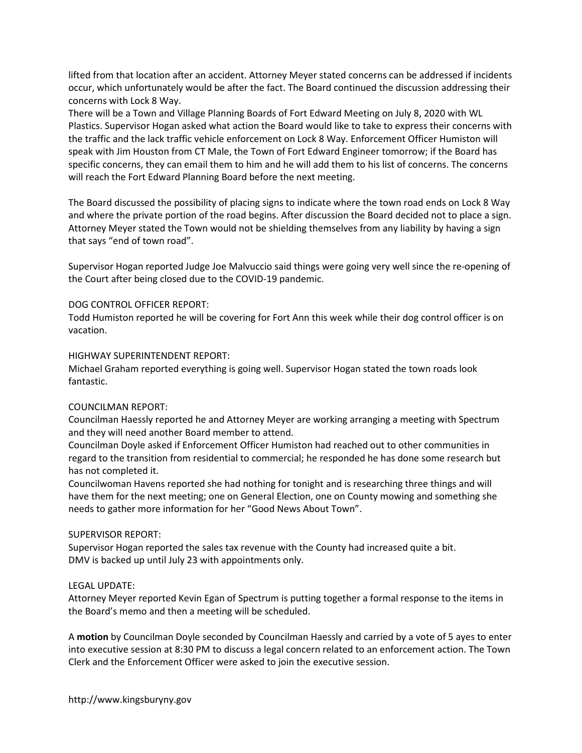lifted from that location after an accident. Attorney Meyer stated concerns can be addressed if incidents occur, which unfortunately would be after the fact. The Board continued the discussion addressing their concerns with Lock 8 Way.

There will be a Town and Village Planning Boards of Fort Edward Meeting on July 8, 2020 with WL Plastics. Supervisor Hogan asked what action the Board would like to take to express their concerns with the traffic and the lack traffic vehicle enforcement on Lock 8 Way. Enforcement Officer Humiston will speak with Jim Houston from CT Male, the Town of Fort Edward Engineer tomorrow; if the Board has specific concerns, they can email them to him and he will add them to his list of concerns. The concerns will reach the Fort Edward Planning Board before the next meeting.

The Board discussed the possibility of placing signs to indicate where the town road ends on Lock 8 Way and where the private portion of the road begins. After discussion the Board decided not to place a sign. Attorney Meyer stated the Town would not be shielding themselves from any liability by having a sign that says "end of town road".

Supervisor Hogan reported Judge Joe Malvuccio said things were going very well since the re-opening of the Court after being closed due to the COVID-19 pandemic.

## DOG CONTROL OFFICER REPORT:

Todd Humiston reported he will be covering for Fort Ann this week while their dog control officer is on vacation.

## HIGHWAY SUPERINTENDENT REPORT:

Michael Graham reported everything is going well. Supervisor Hogan stated the town roads look fantastic.

# COUNCILMAN REPORT:

Councilman Haessly reported he and Attorney Meyer are working arranging a meeting with Spectrum and they will need another Board member to attend.

Councilman Doyle asked if Enforcement Officer Humiston had reached out to other communities in regard to the transition from residential to commercial; he responded he has done some research but has not completed it.

Councilwoman Havens reported she had nothing for tonight and is researching three things and will have them for the next meeting; one on General Election, one on County mowing and something she needs to gather more information for her "Good News About Town".

# SUPERVISOR REPORT:

Supervisor Hogan reported the sales tax revenue with the County had increased quite a bit. DMV is backed up until July 23 with appointments only.

# LEGAL UPDATE:

Attorney Meyer reported Kevin Egan of Spectrum is putting together a formal response to the items in the Board's memo and then a meeting will be scheduled.

A motion by Councilman Doyle seconded by Councilman Haessly and carried by a vote of 5 ayes to enter into executive session at 8:30 PM to discuss a legal concern related to an enforcement action. The Town Clerk and the Enforcement Officer were asked to join the executive session.